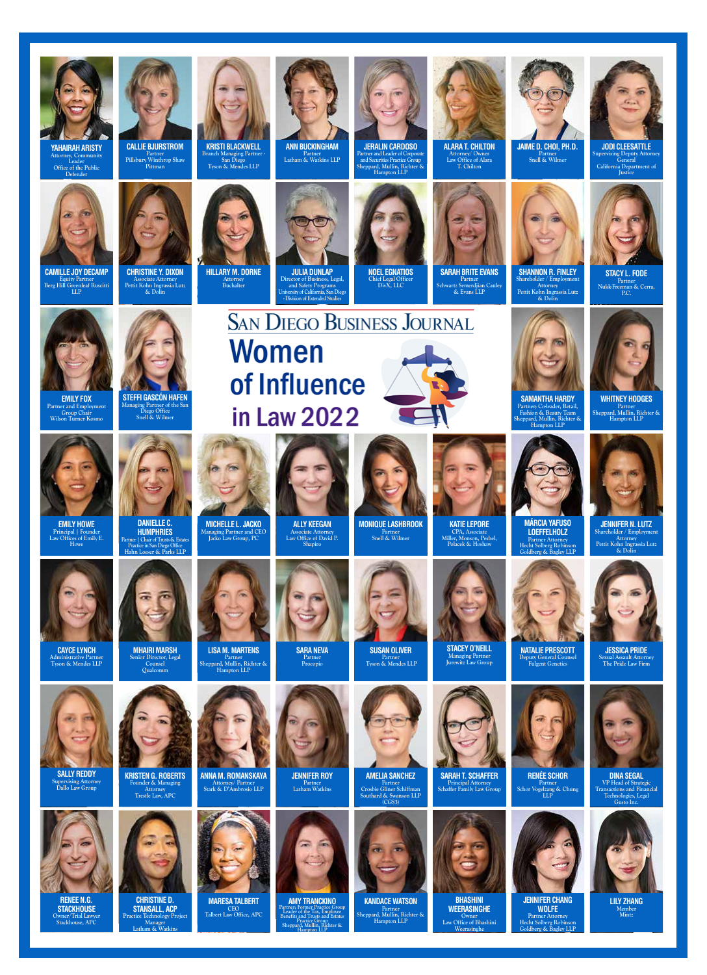

**YAHAIRAH ARISTY Attorney, Community Leader Office of the Public Defender**



**CAMILLE JOY DECAMP Equity Partner Berg Hill Greenleaf Ruscitti LLP**



**EMILY FOX** 

**Partner and Employment Group Chair Wilson Turner Kosmo**



**EMILY HOWE Principal | Founder Law Offices of Emily E. Howe**



**CAYCE LYNCH Administrative Partner Tyson & Mendes LLP**



**SALLY REDDY Supervising Attorney Dallo Law Group**



**RENEE N.G. STACKHOUSE Owner/Trial Lawyer Stackhouse, APC**



**CALLIE BJURSTROM Partner Pillsbury Winthrop Shaw Pittman**

**CHRISTINE Y. DIXON Associate Attorney Pettit Kohn Ingrassia Lutz & Dolin**

**DANIELLE C. HUMPHRIES Partner | Chair of Trusts & Estates Practice in San Diego Office Hahn Loeser & Parks LLP**



**MHAIRI MARSH Senior Director, Legal Counsel Qualcomm**

**KRISTEN G. ROBERTS Founder & Managing Attorney Trestle Law, APC**

**CHRISTINE D. STANSALL, ACP Practice Technology Proje Manager Latham & Watkins**

**LISA M. MARTENS Partner Sheppard, Mullin, Richter & Hampton LLP**



**JENNIFER ROY Partner Latham Watkins**



**AMY TRANCKINO Partner; Former Practice Group Leader of the Tax, Employee Practice Group Sheppard, Mullin, Richter & Hampton LLP**



**Partner Latham & Watkins LLP**

**JULIA DUNLAP**

**Director of Business, Legal, and Safety Programs University of California, San Diego - Division of Extended Studies**

Women

of Influence

in Law 2022

**SAN DIEGO BUSINESS JOURNAL** 

**ALLY KEEGAN Associate Attorney Law Office of David P. Shapiro**

> **SARA NEVA Partner Procopio**

**KRISTI BLACKWELL**<br>Branch Managing Partner **Branch Managing Partner - San Diego Tyson & Mendes LLP**

**HILLARY M. DORNE Attorney Buchalter**

**MICHELLE L. JACKO Managing Partner and CEO Jacko Law Group, PC**

**ANNA M. ROMANSKAYA Attorney/ Partner Stark & D'Ambrosio LLP**

**CEO Talbert Law Office, APC**

**JERALIN CARDOSO Partner and Leader of Corporate and Securities Practice Group Sheppard, Mullin, Richter & Hampton LLP**

> **NOEL EGNATIOS Chief Legal Officer DivX, LLC**

**MONIQUE LASHBROOK Partner Snell & Wilmer**

> **SUSAN OLIVER Partner Tyson & Mendes LLP**



**ALARA T. CHILTON Attorney/ Owner Law Office of Alara T. Chilton**

**SARAH BRITE EVANS Partner Schwartz Semerdjian Cauley & Evans LLP**



**JODI CLEESATTLE**

**Partner Snell & Wilmer**  $\log$  Deputy Attor



**STACY L. FODE Partner Nukk-Freeman & Cerra, P.C.** 



Partner; Co-leader, Retai **Fashion & Beauty Team Sheppard, Mullin, Richter & Hampton LLP**

> **MÁRCIA YAFUSO LOEFFELHOLZ**

**Shareholder / Employmen Attorney Pettit Kohn Ingrassia Lutz & Dolin**

> **WHITNEY HODGES Partner Sheppard, Mullin, Richter & Hampton LLP**

**JENNIFER N. LUTZ Shareholder / Employment Attorney Pettit Kohn Ingrassia Lutz & Dolin**





**JESSICA PRIDE Sexual Assault Attorney The Pride Law Firm**



**DINA SEGAL** 

**JENNIFER CHANG** 

**WOLFE Partner Attorney Hecht Solberg Robinson Goldberg & Bagley LLP**



**LILY ZHANG Member Mintz**



**mployee**<br>1d Estat

**AMELIA SANCHEZ**





**KANDACE WATSON Partner Sheppard, Mullin, Richter & Hampton LLP**

**KATIE LEPORE** 

**STACEY O'NEILL** 





**SARAH T. SCHAFFER Principal Attorney Schaffer Family Law Group**



**BHASHINI WEERASINGHE Owner Law Office of Bhashini Weerasinghe**